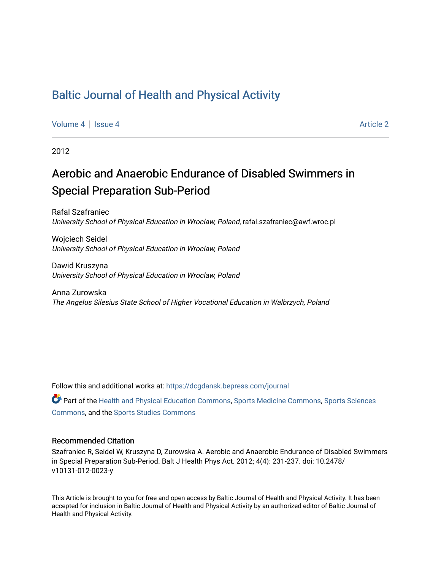# [Baltic Journal of Health and Physical Activity](https://dcgdansk.bepress.com/journal)

[Volume 4](https://dcgdansk.bepress.com/journal/vol4) | [Issue 4](https://dcgdansk.bepress.com/journal/vol4/iss4) Article 2

2012

# Aerobic and Anaerobic Endurance of Disabled Swimmers in Special Preparation Sub-Period

Rafal Szafraniec University School of Physical Education in Wroclaw, Poland, rafal.szafraniec@awf.wroc.pl

Wojciech Seidel University School of Physical Education in Wroclaw, Poland

Dawid Kruszyna University School of Physical Education in Wroclaw, Poland

Anna Zurowska The Angelus Silesius State School of Higher Vocational Education in Walbrzych, Poland

Follow this and additional works at: [https://dcgdansk.bepress.com/journal](https://dcgdansk.bepress.com/journal?utm_source=dcgdansk.bepress.com%2Fjournal%2Fvol4%2Fiss4%2F2&utm_medium=PDF&utm_campaign=PDFCoverPages)

Part of the [Health and Physical Education Commons](http://network.bepress.com/hgg/discipline/1327?utm_source=dcgdansk.bepress.com%2Fjournal%2Fvol4%2Fiss4%2F2&utm_medium=PDF&utm_campaign=PDFCoverPages), [Sports Medicine Commons,](http://network.bepress.com/hgg/discipline/1331?utm_source=dcgdansk.bepress.com%2Fjournal%2Fvol4%2Fiss4%2F2&utm_medium=PDF&utm_campaign=PDFCoverPages) [Sports Sciences](http://network.bepress.com/hgg/discipline/759?utm_source=dcgdansk.bepress.com%2Fjournal%2Fvol4%2Fiss4%2F2&utm_medium=PDF&utm_campaign=PDFCoverPages) [Commons](http://network.bepress.com/hgg/discipline/759?utm_source=dcgdansk.bepress.com%2Fjournal%2Fvol4%2Fiss4%2F2&utm_medium=PDF&utm_campaign=PDFCoverPages), and the [Sports Studies Commons](http://network.bepress.com/hgg/discipline/1198?utm_source=dcgdansk.bepress.com%2Fjournal%2Fvol4%2Fiss4%2F2&utm_medium=PDF&utm_campaign=PDFCoverPages) 

#### Recommended Citation

Szafraniec R, Seidel W, Kruszyna D, Zurowska A. Aerobic and Anaerobic Endurance of Disabled Swimmers in Special Preparation Sub-Period. Balt J Health Phys Act. 2012; 4(4): 231-237. doi: 10.2478/ v10131-012-0023-y

This Article is brought to you for free and open access by Baltic Journal of Health and Physical Activity. It has been accepted for inclusion in Baltic Journal of Health and Physical Activity by an authorized editor of Baltic Journal of Health and Physical Activity.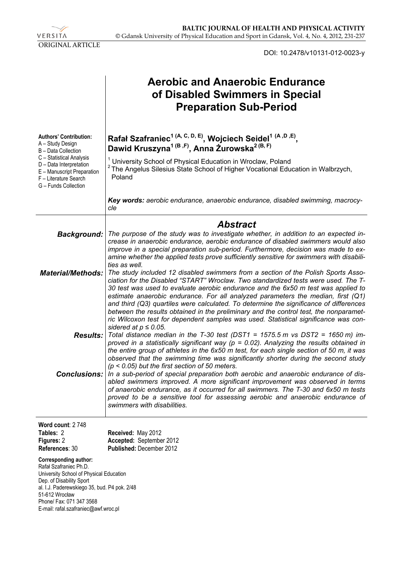VERSITA ORIGINAL ARTICLE

DOI: 10.2478/v10131-012-0023-y

|                                                                                                                                                                                                                                                              | <b>Aerobic and Anaerobic Endurance</b><br>of Disabled Swimmers in Special<br><b>Preparation Sub-Period</b>                                                                                                                                                                                                                                                                                                                                                                                                                                                                                                                                              |
|--------------------------------------------------------------------------------------------------------------------------------------------------------------------------------------------------------------------------------------------------------------|---------------------------------------------------------------------------------------------------------------------------------------------------------------------------------------------------------------------------------------------------------------------------------------------------------------------------------------------------------------------------------------------------------------------------------------------------------------------------------------------------------------------------------------------------------------------------------------------------------------------------------------------------------|
| <b>Authors' Contribution:</b><br>A - Study Design<br>B - Data Collection<br>C - Statistical Analysis<br>D - Data Interpretation<br>E - Manuscript Preparation<br>F - Literature Search<br>G - Funds Collection                                               | Rafał Szafraniec <sup>1 (A, C, D, E)</sup> , Wojciech Seidel <sup>1 (A, D, E)</sup> ,<br>Dawid Kruszyna <sup>1 (B, F)</sup> , Anna Zurowska <sup>2 (B, F)</sup><br><sup>1</sup> University School of Physical Education in Wroclaw, Poland<br><sup>2</sup> The Angelus Silesius State School of Higher Vocational Education in Walbrzych,<br>Poland                                                                                                                                                                                                                                                                                                     |
|                                                                                                                                                                                                                                                              | Key words: aerobic endurance, anaerobic endurance, disabled swimming, macrocy-<br>cle                                                                                                                                                                                                                                                                                                                                                                                                                                                                                                                                                                   |
|                                                                                                                                                                                                                                                              |                                                                                                                                                                                                                                                                                                                                                                                                                                                                                                                                                                                                                                                         |
| <b>Background:</b>                                                                                                                                                                                                                                           | <b>Abstract</b><br>The purpose of the study was to investigate whether, in addition to an expected in-<br>crease in anaerobic endurance, aerobic endurance of disabled swimmers would also<br>improve in a special preparation sub-period. Furthermore, decision was made to ex-<br>amine whether the applied tests prove sufficiently sensitive for swimmers with disabili-<br>ties as well.                                                                                                                                                                                                                                                           |
| <b>Material/Methods:</b>                                                                                                                                                                                                                                     | The study included 12 disabled swimmers from a section of the Polish Sports Asso-<br>ciation for the Disabled "START" Wroclaw. Two standardized tests were used. The T-<br>30 test was used to evaluate aerobic endurance and the 6x50 m test was applied to<br>estimate anaerobic endurance. For all analyzed parameters the median, first (Q1)<br>and third (Q3) quartiles were calculated. To determine the significance of differences<br>between the results obtained in the preliminary and the control test, the nonparamet-<br>ric Wilcoxon test for dependent samples was used. Statistical significance was con-<br>sidered at $p \le 0.05$ . |
|                                                                                                                                                                                                                                                              | <b>Results:</b> Total distance median in the T-30 test (DST1 = 1575.5 m vs DST2 = 1650 m) im-<br>proved in a statistically significant way ( $p = 0.02$ ). Analyzing the results obtained in<br>the entire group of athletes in the 6x50 m test, for each single section of 50 m, it was<br>observed that the swimming time was significantly shorter during the second study<br>$(p < 0.05)$ but the first section of 50 meters.                                                                                                                                                                                                                       |
|                                                                                                                                                                                                                                                              | <b>Conclusions:</b> In a sub-period of special preparation both aerobic and anaerobic endurance of dis-<br>abled swimmers improved. A more significant improvement was observed in terms<br>of anaerobic endurance, as it occurred for all swimmers. The T-30 and 6x50 m tests<br>proved to be a sensitive tool for assessing aerobic and anaerobic endurance of<br>swimmers with disabilities.                                                                                                                                                                                                                                                         |
| Word count: 2748<br>Tables: 2<br>Figures: 2<br>References: 30                                                                                                                                                                                                | Received: May 2012<br>Accepted: September 2012<br>Published: December 2012                                                                                                                                                                                                                                                                                                                                                                                                                                                                                                                                                                              |
| Corresponding author:<br>Rafał Szafraniec Ph.D.<br>University School of Physical Education<br>Dep. of Disability Sport<br>al. I.J. Paderewskiego 35, bud. P4 pok. 2/48<br>51-612 Wrocław<br>Phone/ Fax: 071 347 3568<br>E-mail: rafal.szafraniec@awf.wroc.pl |                                                                                                                                                                                                                                                                                                                                                                                                                                                                                                                                                                                                                                                         |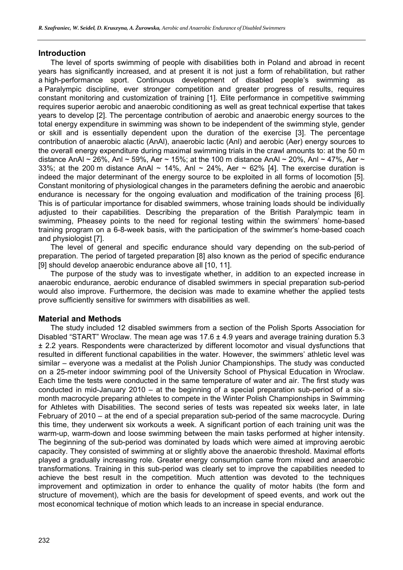#### **Introduction**

The level of sports swimming of people with disabilities both in Poland and abroad in recent years has significantly increased, and at present it is not just a form of rehabilitation, but rather a high-performance sport. Continuous development of disabled people's swimming as a Paralympic discipline, ever stronger competition and greater progress of results, requires constant monitoring and customization of training [1]. Elite performance in competitive swimming requires superior aerobic and anaerobic conditioning as well as great technical expertise that takes years to develop [2]. The percentage contribution of aerobic and anaerobic energy sources to the total energy expenditure in swimming was shown to be independent of the swimming style, gender or skill and is essentially dependent upon the duration of the exercise [3]. The percentage contribution of anaerobic alactic (AnAl), anaerobic lactic (Anl) and aerobic (Aer) energy sources to the overall energy expenditure during maximal swimming trials in the crawl amounts to: at the 50 m distance AnAl ~ 26%, Anl ~ 59%, Aer ~ 15%; at the 100 m distance AnAl ~ 20%. Anl ~ 47%. Aer ~ 33%; at the 200 m distance AnAl ~ 14%, Anl ~ 24%, Aer ~ 62% [4]. The exercise duration is indeed the major determinant of the energy source to be exploited in all forms of locomotion [5]. Constant monitoring of physiological changes in the parameters defining the aerobic and anaerobic endurance is necessary for the ongoing evaluation and modification of the training process [6]. This is of particular importance for disabled swimmers, whose training loads should be individually adjusted to their capabilities. Describing the preparation of the British Paralympic team in swimming, Pheasey points to the need for regional testing within the swimmers' home-based training program on a 6-8-week basis, with the participation of the swimmer's home-based coach and physiologist [7].

The level of general and specific endurance should vary depending on the sub-period of preparation. The period of targeted preparation [8] also known as the period of specific endurance [9] should develop anaerobic endurance above all [10, 11].

The purpose of the study was to investigate whether, in addition to an expected increase in anaerobic endurance, aerobic endurance of disabled swimmers in special preparation sub-period would also improve. Furthermore, the decision was made to examine whether the applied tests prove sufficiently sensitive for swimmers with disabilities as well.

# **Material and Methods**

The study included 12 disabled swimmers from a section of the Polish Sports Association for Disabled "START" Wroclaw. The mean age was 17.6 ± 4.9 years and average training duration 5.3 ± 2.2 years. Respondents were characterized by different locomotor and visual dysfunctions that resulted in different functional capabilities in the water. However, the swimmers' athletic level was similar – everyone was a medalist at the Polish Junior Championships. The study was conducted on a 25-meter indoor swimming pool of the University School of Physical Education in Wroclaw. Each time the tests were conducted in the same temperature of water and air. The first study was conducted in mid-January 2010 – at the beginning of a special preparation sub-period of a sixmonth macrocycle preparing athletes to compete in the Winter Polish Championships in Swimming for Athletes with Disabilities. The second series of tests was repeated six weeks later, in late February of 2010 – at the end of a special preparation sub-period of the same macrocycle. During this time, they underwent six workouts a week. A significant portion of each training unit was the warm-up, warm-down and loose swimming between the main tasks performed at higher intensity. The beginning of the sub-period was dominated by loads which were aimed at improving aerobic capacity. They consisted of swimming at or slightly above the anaerobic threshold. Maximal efforts played a gradually increasing role. Greater energy consumption came from mixed and anaerobic transformations. Training in this sub-period was clearly set to improve the capabilities needed to achieve the best result in the competition. Much attention was devoted to the techniques improvement and optimization in order to enhance the quality of motor habits (the form and structure of movement), which are the basis for development of speed events, and work out the most economical technique of motion which leads to an increase in special endurance.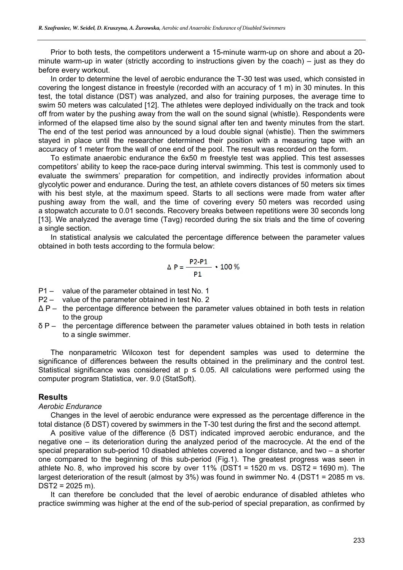Prior to both tests, the competitors underwent a 15-minute warm-up on shore and about a 20 minute warm-up in water (strictly according to instructions given by the coach) – just as they do before every workout.

In order to determine the level of aerobic endurance the T-30 test was used, which consisted in covering the longest distance in freestyle (recorded with an accuracy of 1 m) in 30 minutes. In this test, the total distance (DST) was analyzed, and also for training purposes, the average time to swim 50 meters was calculated [12]. The athletes were deployed individually on the track and took off from water by the pushing away from the wall on the sound signal (whistle). Respondents were informed of the elapsed time also by the sound signal after ten and twenty minutes from the start. The end of the test period was announced by a loud double signal (whistle). Then the swimmers staved in place until the researcher determined their position with a measuring tape with an accuracy of 1 meter from the wall of one end of the pool. The result was recorded on the form.

To estimate anaerobic endurance the 6x50 m freestyle test was applied. This test assesses competitors' ability to keep the race-pace during interval swimming. This test is commonly used to evaluate the swimmers' preparation for competition, and indirectly provides information about glycolytic power and endurance. During the test, an athlete covers distances of 50 meters six times with his best style, at the maximum speed. Starts to all sections were made from water after pushing away from the wall, and the time of covering every 50 meters was recorded using a stopwatch accurate to 0.01 seconds. Recovery breaks between repetitions were 30 seconds long [13]. We analyzed the average time (Tavg) recorded during the six trials and the time of covering a single section.

In statistical analysis we calculated the percentage difference between the parameter values obtained in both tests according to the formula below:

$$
\Delta P = \frac{P2 - P1}{P1} \cdot 100\%
$$

- P1 value of the parameter obtained in test No. 1
- P2 value of the parameter obtained in test No. 2
- $\Delta P$  the percentage difference between the parameter values obtained in both tests in relation to the group
- δ P the percentage difference between the parameter values obtained in both tests in relation to a single swimmer.

The nonparametric Wilcoxon test for dependent samples was used to determine the significance of differences between the results obtained in the preliminary and the control test. Statistical significance was considered at  $p \le 0.05$ . All calculations were performed using the computer program Statistica, ver. 9.0 (StatSoft).

#### **Results**

#### *Aerobic Endurance*

Changes in the level of aerobic endurance were expressed as the percentage difference in the total distance (δ DST) covered by swimmers in the T-30 test during the first and the second attempt.

A positive value of the difference (δ DST) indicated improved aerobic endurance, and the negative one – its deterioration during the analyzed period of the macrocycle. At the end of the special preparation sub-period 10 disabled athletes covered a longer distance, and two – a shorter one compared to the beginning of this sub-period (Fig.1). The greatest progress was seen in athlete No. 8, who improved his score by over 11% (DST1 = 1520 m vs. DST2 = 1690 m). The largest deterioration of the result (almost by 3%) was found in swimmer No. 4 (DST1 = 2085 m vs.  $DST2 = 2025$  m).

It can therefore be concluded that the level of aerobic endurance of disabled athletes who practice swimming was higher at the end of the sub-period of special preparation, as confirmed by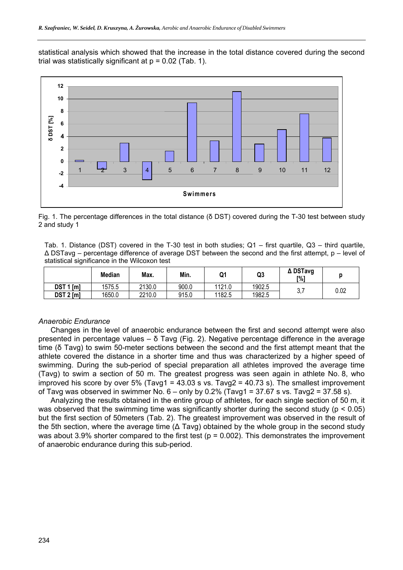statistical analysis which showed that the increase in the total distance covered during the second trial was statistically significant at  $p = 0.02$  (Tab. 1).



Fig. 1. The percentage differences in the total distance (δ DST) covered during the T-30 test between study 2 and study 1

Tab. 1. Distance (DST) covered in the T-30 test in both studies; Q1 – first quartile, Q3 – third quartile, Δ DSTavg – percentage difference of average DST between the second and the first attempt, p – level of statistical significance in the Wilcoxon test

|                  | <b>Median</b> | Max.   | Min.  | Q1     | Q3     | ∆ DSTavg<br>[%] |      |
|------------------|---------------|--------|-------|--------|--------|-----------------|------|
| <b>DST 1 [m]</b> | 1575.5        | 2130.0 | 900.0 | 1121.0 | 1902.5 | v.              | 0.02 |
| $DST 2$ [m]      | 1650.0        | 2210.0 | 915.0 | 1182.5 | 1982.5 |                 |      |

#### *Anaerobic Endurance*

Changes in the level of anaerobic endurance between the first and second attempt were also presented in percentage values –  $\delta$  Tavg (Fig. 2). Negative percentage difference in the average time (δ Tavg) to swim 50-meter sections between the second and the first attempt meant that the athlete covered the distance in a shorter time and thus was characterized by a higher speed of swimming. During the sub-period of special preparation all athletes improved the average time (Tavg) to swim a section of 50 m. The greatest progress was seen again in athlete No. 8, who improved his score by over 5% (Tavg1 = 43.03 s vs. Tavg2 = 40.73 s). The smallest improvement of Tavg was observed in swimmer No.  $6 -$  only by 0.2% (Tavg1 = 37.67 s vs. Tavg2 = 37.58 s).

Analyzing the results obtained in the entire group of athletes, for each single section of 50 m, it was observed that the swimming time was significantly shorter during the second study ( $p < 0.05$ ) but the first section of 50meters (Tab. 2). The greatest improvement was observed in the result of the 5th section, where the average time ( $\Delta$  Tavg) obtained by the whole group in the second study was about 3.9% shorter compared to the first test ( $p = 0.002$ ). This demonstrates the improvement of anaerobic endurance during this sub-period.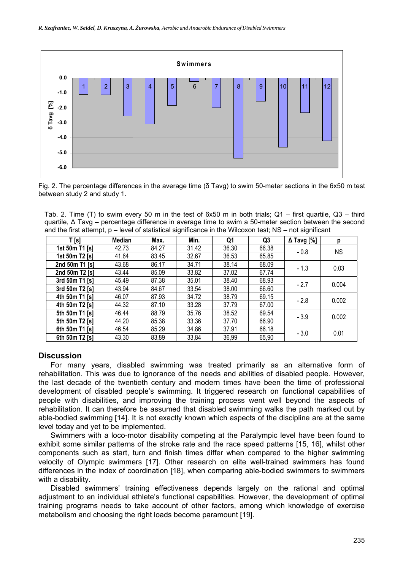

Fig. 2. The percentage differences in the average time (δ Tavg) to swim 50-meter sections in the 6x50 m test between study 2 and study 1.

Tab. 2. Time (T) to swim every 50 m in the test of 6x50 m in both trials; Q1 – first quartile, Q3 – third quartile, Δ Tavg – percentage difference in average time to swim a 50-meter section between the second and the first attempt, p – level of statistical significance in the Wilcoxon test; NS – not significant

| T[s]           | Median | Max.  | Min.  | Q1    | Q <sub>3</sub> | $\Delta$ Tavg [%] | р         |
|----------------|--------|-------|-------|-------|----------------|-------------------|-----------|
| 1st 50m T1 [s] | 42.73  | 84.27 | 31.42 | 36.30 | 66.38          | $-0.8$            | <b>NS</b> |
| 1st 50m T2 [s] | 41.64  | 83.45 | 32.67 | 36.53 | 65.85          |                   |           |
| 2nd 50m T1 [s] | 43.68  | 86.17 | 34.71 | 38.14 | 68.09          | $-1.3$            | 0.03      |
| 2nd 50m T2 [s] | 43.44  | 85.09 | 33.82 | 37.02 | 67.74          |                   |           |
| 3rd 50m T1 [s] | 45.49  | 87.38 | 35.01 | 38.40 | 68.93          | $-2.7$            | 0.004     |
| 3rd 50m T2 [s] | 43.94  | 84.67 | 33.54 | 38.00 | 66.60          |                   |           |
| 4th 50m T1 [s] | 46.07  | 87.93 | 34.72 | 38.79 | 69.15          | $-2.8$            | 0.002     |
| 4th 50m T2 [s] | 44.32  | 87.10 | 33.28 | 37.79 | 67.00          |                   |           |
| 5th 50m T1 [s] | 46.44  | 88.79 | 35.76 | 38.52 | 69.54          | $-3.9$            | 0.002     |
| 5th 50m T2 [s] | 44.20  | 85.38 | 33.36 | 37.70 | 66.90          |                   |           |
| 6th 50m T1 [s] | 46.54  | 85.29 | 34.86 | 37.91 | 66.18          | $-3.0$            | 0.01      |
| 6th 50m T2 [s] | 43,30  | 83,89 | 33,84 | 36,99 | 65,90          |                   |           |

#### **Discussion**

For many years, disabled swimming was treated primarily as an alternative form of rehabilitation. This was due to ignorance of the needs and abilities of disabled people. However, the last decade of the twentieth century and modern times have been the time of professional development of disabled people's swimming. It triggered research on functional capabilities of people with disabilities, and improving the training process went well beyond the aspects of rehabilitation. It can therefore be assumed that disabled swimming walks the path marked out by able-bodied swimming [14]. It is not exactly known which aspects of the discipline are at the same level today and yet to be implemented.

Swimmers with a loco-motor disability competing at the Paralympic level have been found to exhibit some similar patterns of the stroke rate and the race speed patterns [15, 16], whilst other components such as start, turn and finish times differ when compared to the higher swimming velocity of Olympic swimmers [17]. Other research on elite well-trained swimmers has found differences in the index of coordination [18], when comparing able-bodied swimmers to swimmers with a disability.

Disabled swimmers' training effectiveness depends largely on the rational and optimal adjustment to an individual athlete's functional capabilities. However, the development of optimal training programs needs to take account of other factors, among which knowledge of exercise metabolism and choosing the right loads become paramount [19].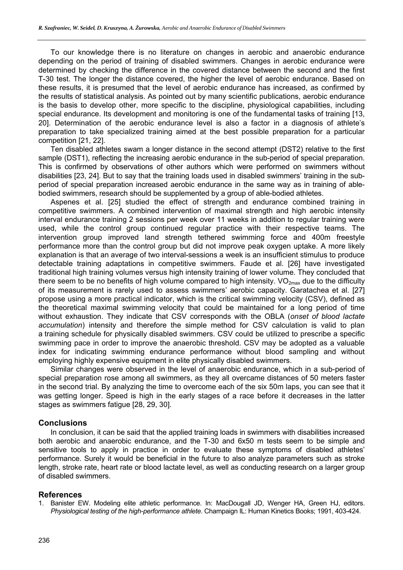To our knowledge there is no literature on changes in aerobic and anaerobic endurance depending on the period of training of disabled swimmers. Changes in aerobic endurance were determined by checking the difference in the covered distance between the second and the first T-30 test. The longer the distance covered, the higher the level of aerobic endurance. Based on these results, it is presumed that the level of aerobic endurance has increased, as confirmed by the results of statistical analysis. As pointed out by many scientific publications, aerobic endurance is the basis to develop other, more specific to the discipline, physiological capabilities, including special endurance. Its development and monitoring is one of the fundamental tasks of training [13, 20]. Determination of the aerobic endurance level is also a factor in a diagnosis of athlete's preparation to take specialized training aimed at the best possible preparation for a particular competition [21, 22].

Ten disabled athletes swam a longer distance in the second attempt (DST2) relative to the first sample (DST1), reflecting the increasing aerobic endurance in the sub-period of special preparation. This is confirmed by observations of other authors which were performed on swimmers without disabilities [23, 24]. But to say that the training loads used in disabled swimmers' training in the subperiod of special preparation increased aerobic endurance in the same way as in training of ablebodied swimmers, research should be supplemented by a group of able-bodied athletes.

Aspenes et al. [25] studied the effect of strength and endurance combined training in competitive swimmers. A combined intervention of maximal strength and high aerobic intensity interval endurance training 2 sessions per week over 11 weeks in addition to regular training were used, while the control group continued regular practice with their respective teams. The intervention group improved land strength tethered swimming force and 400m freestyle performance more than the control group but did not improve peak oxygen uptake. A more likely explanation is that an average of two interval-sessions a week is an insufficient stimulus to produce detectable training adaptations in competitive swimmers. Faude et al. [26] have investigated traditional high training volumes versus high intensity training of lower volume. They concluded that there seem to be no benefits of high volume compared to high intensity.  $VO_{2max}$  due to the difficulty of its measurement is rarely used to assess swimmers' aerobic capacity. Garatachea et al. [27] propose using a more practical indicator, which is the critical swimming velocity (CSV), defined as the theoretical maximal swimming velocity that could be maintained for a long period of time without exhaustion. They indicate that CSV corresponds with the OBLA (*onset of blood lactate accumulation*) intensity and therefore the simple method for CSV calculation is valid to plan a training schedule for physically disabled swimmers. CSV could be utilized to prescribe a specific swimming pace in order to improve the anaerobic threshold. CSV may be adopted as a valuable index for indicating swimming endurance performance without blood sampling and without employing highly expensive equipment in elite physically disabled swimmers.

Similar changes were observed in the level of anaerobic endurance, which in a sub-period of special preparation rose among all swimmers, as they all overcame distances of 50 meters faster in the second trial. By analyzing the time to overcome each of the six 50m laps, you can see that it was getting longer. Speed is high in the early stages of a race before it decreases in the latter stages as swimmers fatigue [28, 29, 30].

# **Conclusions**

In conclusion, it can be said that the applied training loads in swimmers with disabilities increased both aerobic and anaerobic endurance, and the T-30 and 6x50 m tests seem to be simple and sensitive tools to apply in practice in order to evaluate these symptoms of disabled athletes' performance. Surely it would be beneficial in the future to also analyze parameters such as stroke length, stroke rate, heart rate or blood lactate level, as well as conducting research on a larger group of disabled swimmers.

# **References**

1. Banister EW. Modeling elite athletic performance. In: MacDougall JD, Wenger HA, Green HJ, editors. *Physiological testing of the high-performance athlete*. Champaign IL: Human Kinetics Books; 1991, 403-424.